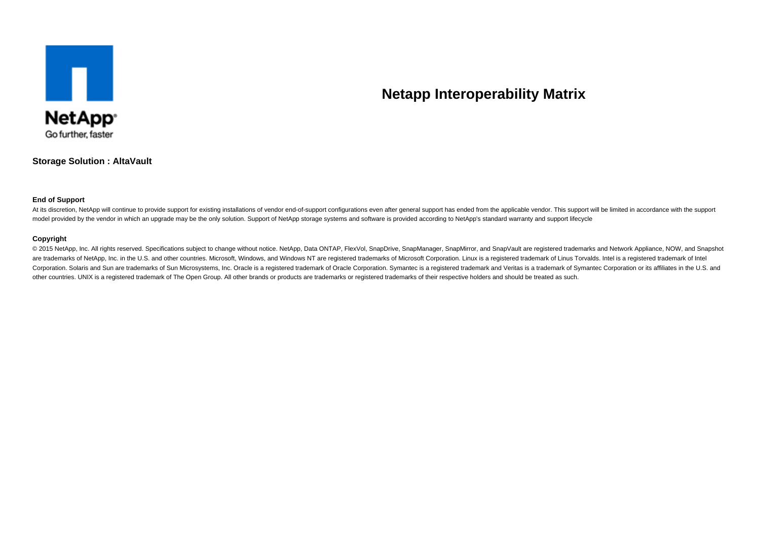

# **Netapp Interoperability Matrix**

**Storage Solution : AltaVault**

#### **End of Support**

At its discretion, NetApp will continue to provide support for existing installations of vendor end-of-support configurations even after general support has ended from the applicable vendor. This support will be limited in model provided by the vendor in which an upgrade may be the only solution. Support of NetApp storage systems and software is provided according to NetApp's standard warranty and support lifecycle

#### **Copyright**

© 2015 NetApp, Inc. All rights reserved. Specifications subject to change without notice. NetApp, Data ONTAP, FlexVol, SnapDrive, SnapManager, SnapMirror, and SnapVault are registered trademarks and Network Appliance, NOW, are trademarks of NetApp, Inc. in the U.S. and other countries. Microsoft, Windows, and Windows NT are registered trademarks of Microsoft Corporation. Linux is a registered trademark of Linus Torvalds. Intel is a registere Corporation. Solaris and Sun are trademarks of Sun Microsystems, Inc. Oracle is a registered trademark of Oracle Corporation. Symantec is a registered trademark and Veritas is a trademark of Symantec Corporation or its aff other countries. UNIX is a registered trademark of The Open Group. All other brands or products are trademarks or registered trademarks of their respective holders and should be treated as such.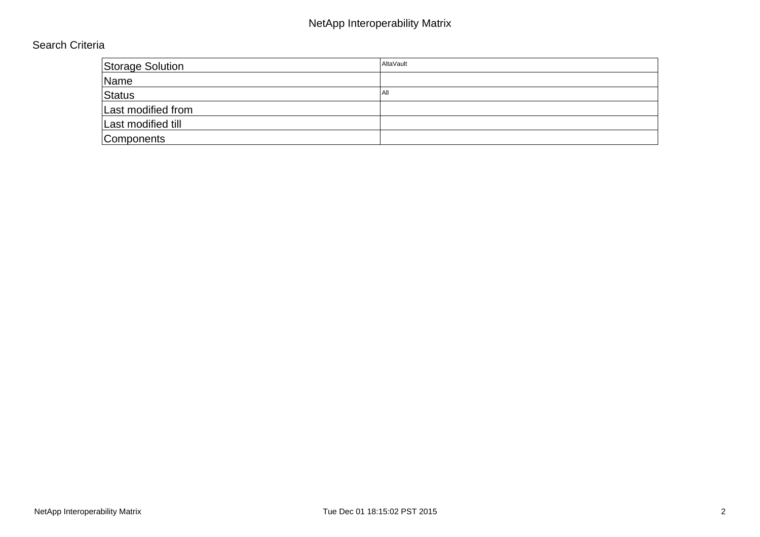# NetApp Interoperability Matrix

### Search Criteria

| <b>Storage Solution</b> | AltaVault |
|-------------------------|-----------|
| Name                    |           |
| Status                  | l All     |
| Last modified from      |           |
| Last modified till      |           |
| Components              |           |